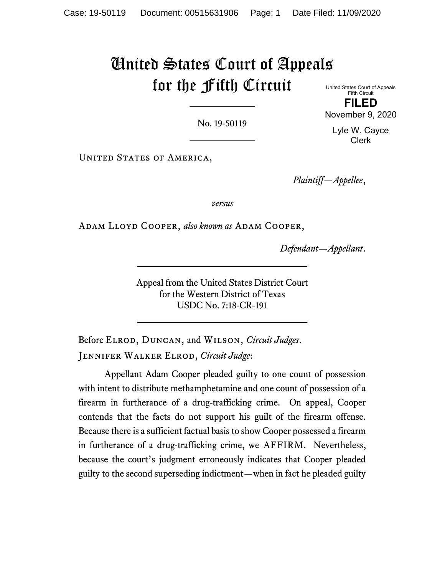# United States Court of Appeals for the Fifth Circuit

No. 19-50119

United States Court of Appeals Fifth Circuit FILED

November 9, 2020

Lyle W. Cayce Clerk

UNITED STATES OF AMERICA,

Plaintiff—Appellee,

versus

ADAM LLOYD COOPER, also known as ADAM COOPER,

Defendant—Appellant.

Appeal from the United States District Court for the Western District of Texas USDC No. 7:18-CR-191

Before ELROD, DUNCAN, and WILSON, Circuit Judges. JENNIFER WALKER ELROD, Circuit Judge:

Appellant Adam Cooper pleaded guilty to one count of possession with intent to distribute methamphetamine and one count of possession of a firearm in furtherance of a drug-trafficking crime. On appeal, Cooper contends that the facts do not support his guilt of the firearm offense. Because there is a sufficient factual basis to show Cooper possessed a firearm in furtherance of a drug-trafficking crime, we AFFIRM. Nevertheless, because the court's judgment erroneously indicates that Cooper pleaded guilty to the second superseding indictment—when in fact he pleaded guilty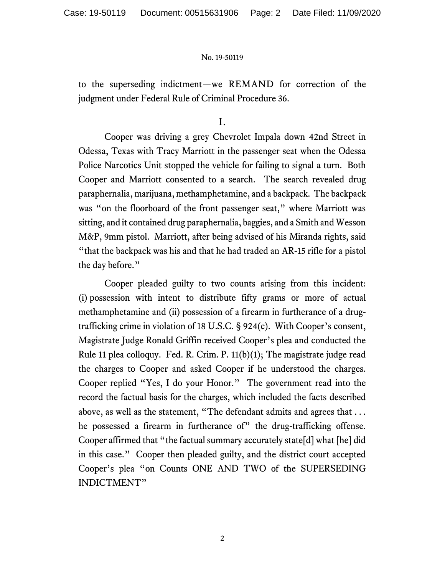to the superseding indictment—we REMAND for correction of the judgment under Federal Rule of Criminal Procedure 36.

I.

Cooper was driving a grey Chevrolet Impala down 42nd Street in Odessa, Texas with Tracy Marriott in the passenger seat when the Odessa Police Narcotics Unit stopped the vehicle for failing to signal a turn. Both Cooper and Marriott consented to a search. The search revealed drug paraphernalia, marijuana, methamphetamine, and a backpack. The backpack was "on the floorboard of the front passenger seat," where Marriott was sitting, and it contained drug paraphernalia, baggies, and a Smith and Wesson M&P, 9mm pistol. Marriott, after being advised of his Miranda rights, said "that the backpack was his and that he had traded an AR-15 rifle for a pistol the day before."

Cooper pleaded guilty to two counts arising from this incident: (i) possession with intent to distribute fifty grams or more of actual methamphetamine and (ii) possession of a firearm in furtherance of a drugtrafficking crime in violation of 18 U.S.C. § 924(c). With Cooper's consent, Magistrate Judge Ronald Griffin received Cooper's plea and conducted the Rule 11 plea colloquy. Fed. R. Crim. P. 11(b)(1); The magistrate judge read the charges to Cooper and asked Cooper if he understood the charges. Cooper replied "Yes, I do your Honor." The government read into the record the factual basis for the charges, which included the facts described above, as well as the statement, "The defendant admits and agrees that . . . he possessed a firearm in furtherance of" the drug-trafficking offense. Cooper affirmed that "the factual summary accurately state[d] what [he] did in this case." Cooper then pleaded guilty, and the district court accepted Cooper's plea "on Counts ONE AND TWO of the SUPERSEDING INDICTMENT"

2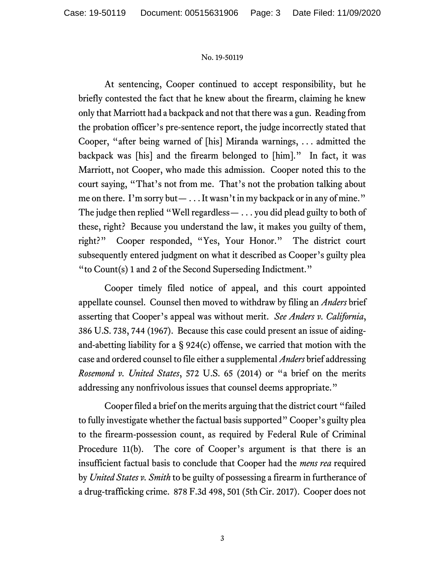At sentencing, Cooper continued to accept responsibility, but he briefly contested the fact that he knew about the firearm, claiming he knew only that Marriott had a backpack and not that there was a gun. Reading from the probation officer's pre-sentence report, the judge incorrectly stated that Cooper, "after being warned of [his] Miranda warnings, . . . admitted the backpack was [his] and the firearm belonged to [him]." In fact, it was Marriott, not Cooper, who made this admission. Cooper noted this to the court saying, "That's not from me. That's not the probation talking about me on there. I'm sorry but— . . . It wasn't in my backpack or in any of mine." The judge then replied "Well regardless— . . . you did plead guilty to both of these, right? Because you understand the law, it makes you guilty of them, right?" Cooper responded, "Yes, Your Honor." The district court subsequently entered judgment on what it described as Cooper's guilty plea "to Count(s) 1 and 2 of the Second Superseding Indictment."

Cooper timely filed notice of appeal, and this court appointed appellate counsel. Counsel then moved to withdraw by filing an *Anders* brief asserting that Cooper's appeal was without merit. See Anders v. California, 386 U.S. 738, 744 (1967). Because this case could present an issue of aidingand-abetting liability for a § 924(c) offense, we carried that motion with the case and ordered counsel to file either a supplemental *Anders* brief addressing Rosemond v. United States, 572 U.S. 65 (2014) or "a brief on the merits addressing any nonfrivolous issues that counsel deems appropriate."

Cooper filed a brief on the merits arguing that the district court "failed to fully investigate whether the factual basis supported" Cooper's guilty plea to the firearm-possession count, as required by Federal Rule of Criminal Procedure 11(b). The core of Cooper's argument is that there is an insufficient factual basis to conclude that Cooper had the mens rea required by *United States v. Smith* to be guilty of possessing a firearm in furtherance of a drug-trafficking crime. 878 F.3d 498, 501 (5th Cir. 2017). Cooper does not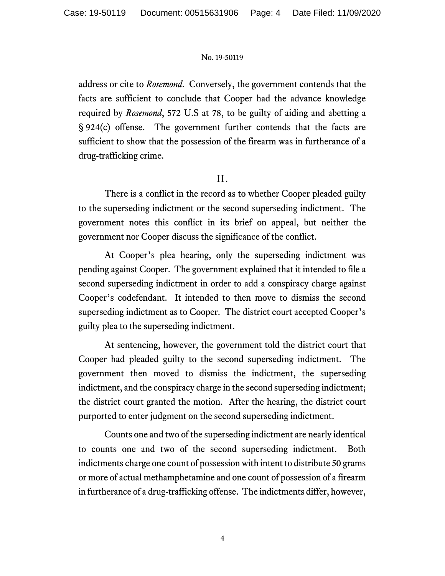address or cite to *Rosemond*. Conversely, the government contends that the facts are sufficient to conclude that Cooper had the advance knowledge required by Rosemond, 572 U.S at 78, to be guilty of aiding and abetting a § 924(c) offense. The government further contends that the facts are sufficient to show that the possession of the firearm was in furtherance of a drug-trafficking crime.

## II.

There is a conflict in the record as to whether Cooper pleaded guilty to the superseding indictment or the second superseding indictment. The government notes this conflict in its brief on appeal, but neither the government nor Cooper discuss the significance of the conflict.

At Cooper's plea hearing, only the superseding indictment was pending against Cooper. The government explained that it intended to file a second superseding indictment in order to add a conspiracy charge against Cooper's codefendant. It intended to then move to dismiss the second superseding indictment as to Cooper. The district court accepted Cooper's guilty plea to the superseding indictment.

At sentencing, however, the government told the district court that Cooper had pleaded guilty to the second superseding indictment. The government then moved to dismiss the indictment, the superseding indictment, and the conspiracy charge in the second superseding indictment; the district court granted the motion. After the hearing, the district court purported to enter judgment on the second superseding indictment.

Counts one and two of the superseding indictment are nearly identical to counts one and two of the second superseding indictment. Both indictments charge one count of possession with intent to distribute 50 grams or more of actual methamphetamine and one count of possession of a firearm in furtherance of a drug-trafficking offense. The indictments differ, however,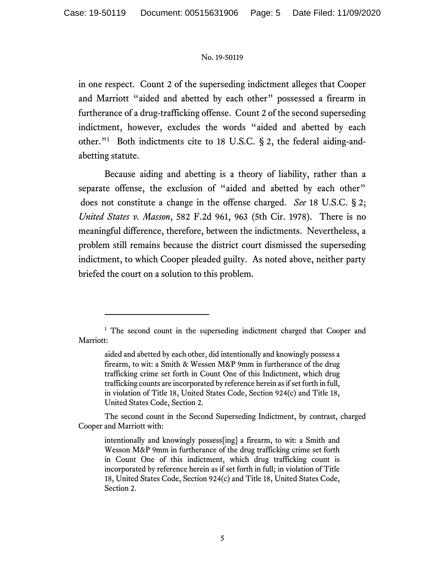in one respect. Count 2 of the superseding indictment alleges that Cooper and Marriott "aided and abetted by each other" possessed a firearm in furtherance of a drug-trafficking offense. Count 2 of the second superseding indictment, however, excludes the words "aided and abetted by each other."<sup>1</sup> Both indictments cite to 18 U.S.C. § 2, the federal aiding-andabetting statute.

Because aiding and abetting is a theory of liability, rather than a separate offense, the exclusion of "aided and abetted by each other" does not constitute a change in the offense charged. See 18 U.S.C. § 2; United States v. Masson, 582 F.2d 961, 963 (5th Cir. 1978). There is no meaningful difference, therefore, between the indictments. Nevertheless, a problem still remains because the district court dismissed the superseding indictment, to which Cooper pleaded guilty. As noted above, neither party briefed the court on a solution to this problem.

The second count in the Second Superseding Indictment, by contrast, charged Cooper and Marriott with:

<sup>&</sup>lt;sup>1</sup> The second count in the superseding indictment charged that Cooper and Marriott:

aided and abetted by each other, did intentionally and knowingly possess a firearm, to wit: a Smith & Wessen M&P 9mm in furtherance of the drug trafficking crime set forth in Count One of this Indictment, which drug trafficking counts are incorporated by reference herein as if set forth in full, in violation of Title 18, United States Code, Section 924(c) and Title 18, United States Code, Section 2.

intentionally and knowingly possess[ing] a firearm, to wit: a Smith and Wesson M&P 9mm in furtherance of the drug trafficking crime set forth in Count One of this indictment, which drug trafficking count is incorporated by reference herein as if set forth in full; in violation of Title 18, United States Code, Section 924(c) and Title 18, United States Code, Section 2.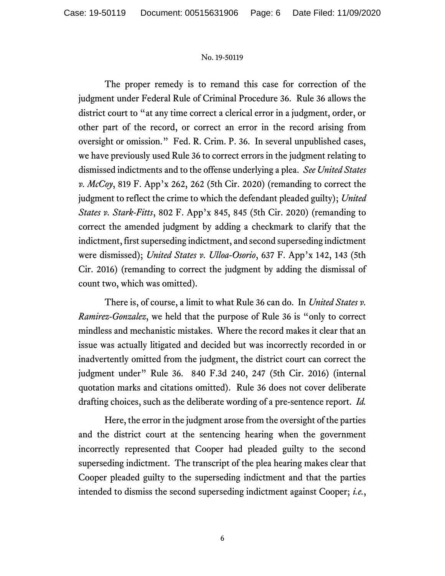The proper remedy is to remand this case for correction of the judgment under Federal Rule of Criminal Procedure 36. Rule 36 allows the district court to "at any time correct a clerical error in a judgment, order, or other part of the record, or correct an error in the record arising from oversight or omission." Fed. R. Crim. P. 36. In several unpublished cases, we have previously used Rule 36 to correct errors in the judgment relating to dismissed indictments and to the offense underlying a plea. See United States v.  $McCoy$ , 819 F. App'x 262, 262 (5th Cir. 2020) (remanding to correct the judgment to reflect the crime to which the defendant pleaded guilty); United States v. Stark-Fitts, 802 F. App'x 845, 845 (5th Cir. 2020) (remanding to correct the amended judgment by adding a checkmark to clarify that the indictment, first superseding indictment, and second superseding indictment were dismissed); United States v. Ulloa-Osorio, 637 F. App'x 142, 143 (5th Cir. 2016) (remanding to correct the judgment by adding the dismissal of count two, which was omitted).

There is, of course, a limit to what Rule 36 can do. In United States v. Ramirez-Gonzalez, we held that the purpose of Rule 36 is "only to correct mindless and mechanistic mistakes. Where the record makes it clear that an issue was actually litigated and decided but was incorrectly recorded in or inadvertently omitted from the judgment, the district court can correct the judgment under" Rule 36. 840 F.3d 240, 247 (5th Cir. 2016) (internal quotation marks and citations omitted). Rule 36 does not cover deliberate drafting choices, such as the deliberate wording of a pre-sentence report. Id.

Here, the error in the judgment arose from the oversight of the parties and the district court at the sentencing hearing when the government incorrectly represented that Cooper had pleaded guilty to the second superseding indictment. The transcript of the plea hearing makes clear that Cooper pleaded guilty to the superseding indictment and that the parties intended to dismiss the second superseding indictment against Cooper; *i.e.*,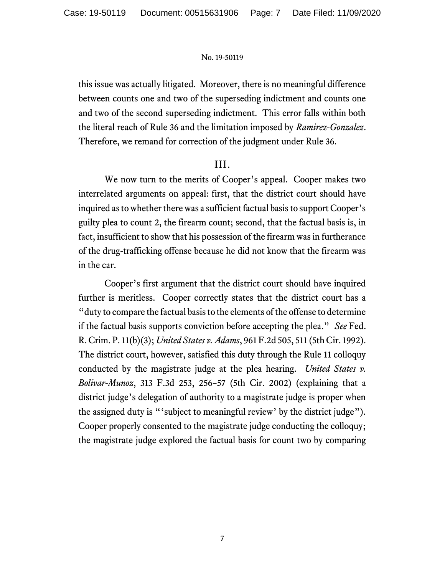this issue was actually litigated. Moreover, there is no meaningful difference between counts one and two of the superseding indictment and counts one and two of the second superseding indictment. This error falls within both the literal reach of Rule 36 and the limitation imposed by Ramirez-Gonzalez. Therefore, we remand for correction of the judgment under Rule 36.

### III.

We now turn to the merits of Cooper's appeal. Cooper makes two interrelated arguments on appeal: first, that the district court should have inquired as to whether there was a sufficient factual basis to support Cooper's guilty plea to count 2, the firearm count; second, that the factual basis is, in fact, insufficient to show that his possession of the firearm was in furtherance of the drug-trafficking offense because he did not know that the firearm was in the car.

Cooper's first argument that the district court should have inquired further is meritless. Cooper correctly states that the district court has a "duty to compare the factual basis to the elements of the offense to determine if the factual basis supports conviction before accepting the plea." See Fed. R. Crim. P. 11(b)(3); United States v. Adams, 961 F.2d 505, 511 (5th Cir. 1992). The district court, however, satisfied this duty through the Rule 11 colloquy conducted by the magistrate judge at the plea hearing. United States v. Bolivar-Munoz, 313 F.3d 253, 256–57 (5th Cir. 2002) (explaining that a district judge's delegation of authority to a magistrate judge is proper when the assigned duty is "'subject to meaningful review' by the district judge"). Cooper properly consented to the magistrate judge conducting the colloquy; the magistrate judge explored the factual basis for count two by comparing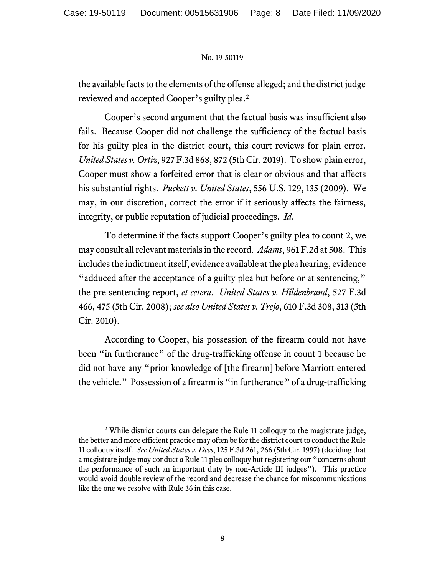the available facts to the elements of the offense alleged; and the district judge reviewed and accepted Cooper's guilty plea.<sup>2</sup>

Cooper's second argument that the factual basis was insufficient also fails. Because Cooper did not challenge the sufficiency of the factual basis for his guilty plea in the district court, this court reviews for plain error. United States v. Ortiz, 927 F.3d 868, 872 (5th Cir. 2019). To show plain error, Cooper must show a forfeited error that is clear or obvious and that affects his substantial rights. Puckett v. United States, 556 U.S. 129, 135 (2009). We may, in our discretion, correct the error if it seriously affects the fairness, integrity, or public reputation of judicial proceedings. Id.

To determine if the facts support Cooper's guilty plea to count 2, we may consult all relevant materials in the record. Adams, 961 F.2d at 508. This includes the indictment itself, evidence available at the plea hearing, evidence "adduced after the acceptance of a guilty plea but before or at sentencing," the pre-sentencing report, et cetera. United States v. Hildenbrand, 527 F.3d 466, 475 (5th Cir. 2008); see also United States v. Trejo, 610 F.3d 308, 313 (5th Cir. 2010).

According to Cooper, his possession of the firearm could not have been "in furtherance" of the drug-trafficking offense in count 1 because he did not have any "prior knowledge of [the firearm] before Marriott entered the vehicle." Possession of a firearm is "in furtherance" of a drug-trafficking

<sup>&</sup>lt;sup>2</sup> While district courts can delegate the Rule 11 colloquy to the magistrate judge, the better and more efficient practice may often be for the district court to conduct the Rule 11 colloquy itself. See United States v. Dees, 125 F.3d 261, 266 (5th Cir. 1997) (deciding that a magistrate judge may conduct a Rule 11 plea colloquy but registering our "concerns about the performance of such an important duty by non-Article III judges"). This practice would avoid double review of the record and decrease the chance for miscommunications like the one we resolve with Rule 36 in this case.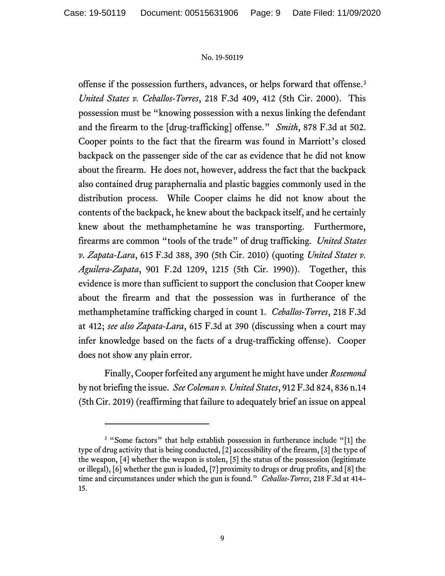offense if the possession furthers, advances, or helps forward that offense.<sup>3</sup> United States v. Ceballos-Torres, 218 F.3d 409, 412 (5th Cir. 2000). This possession must be "knowing possession with a nexus linking the defendant and the firearm to the [drug-trafficking] offense." Smith, 878 F.3d at 502. Cooper points to the fact that the firearm was found in Marriott's closed backpack on the passenger side of the car as evidence that he did not know about the firearm. He does not, however, address the fact that the backpack also contained drug paraphernalia and plastic baggies commonly used in the distribution process. While Cooper claims he did not know about the contents of the backpack, he knew about the backpack itself, and he certainly knew about the methamphetamine he was transporting. Furthermore, firearms are common "tools of the trade" of drug trafficking. United States v. Zapata-Lara, 615 F.3d 388, 390 (5th Cir. 2010) (quoting United States v. Aguilera-Zapata, 901 F.2d 1209, 1215 (5th Cir. 1990)). Together, this evidence is more than sufficient to support the conclusion that Cooper knew about the firearm and that the possession was in furtherance of the methamphetamine trafficking charged in count 1. Ceballos-Torres, 218 F.3d at 412; see also Zapata-Lara, 615 F.3d at 390 (discussing when a court may infer knowledge based on the facts of a drug-trafficking offense). Cooper does not show any plain error.

Finally, Cooper forfeited any argument he might have under Rosemond by not briefing the issue. See Coleman v. United States, 912 F.3d 824, 836 n.14 (5th Cir. 2019) (reaffirming that failure to adequately brief an issue on appeal

<sup>&</sup>lt;sup>3</sup> "Some factors" that help establish possession in furtherance include "[1] the type of drug activity that is being conducted, [2] accessibility of the firearm, [3] the type of the weapon, [4] whether the weapon is stolen, [5] the status of the possession (legitimate or illegal), [6] whether the gun is loaded, [7] proximity to drugs or drug profits, and [8] the time and circumstances under which the gun is found." *Ceballos-Torres*, 218 F.3d at 414– 15.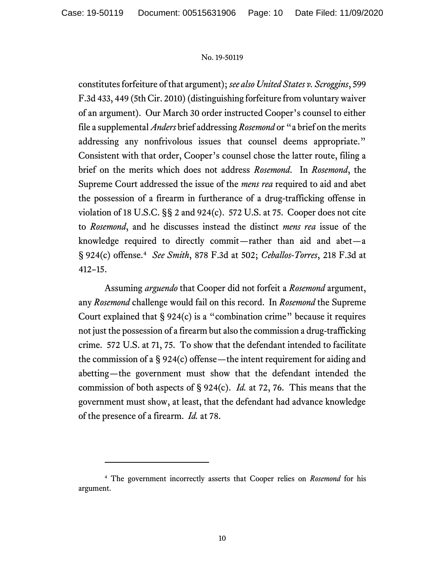constitutes forfeiture of that argument); see also United States v. Scroggins, 599 F.3d 433, 449 (5th Cir. 2010) (distinguishing forfeiture from voluntary waiver of an argument). Our March 30 order instructed Cooper's counsel to either file a supplemental *Anders* brief addressing *Rosemond* or "a brief on the merits addressing any nonfrivolous issues that counsel deems appropriate." Consistent with that order, Cooper's counsel chose the latter route, filing a brief on the merits which does not address Rosemond. In Rosemond, the Supreme Court addressed the issue of the *mens rea* required to aid and abet the possession of a firearm in furtherance of a drug-trafficking offense in violation of 18 U.S.C. §§ 2 and 924(c). 572 U.S. at 75. Cooper does not cite to Rosemond, and he discusses instead the distinct mens rea issue of the knowledge required to directly commit—rather than aid and abet—a § 924(c) offense.<sup>4</sup> See Smith, 878 F.3d at 502; Ceballos-Torres, 218 F.3d at 412–15.

Assuming arguendo that Cooper did not forfeit a Rosemond argument, any Rosemond challenge would fail on this record. In Rosemond the Supreme Court explained that  $\S 924(c)$  is a "combination crime" because it requires not just the possession of a firearm but also the commission a drug-trafficking crime. 572 U.S. at 71, 75. To show that the defendant intended to facilitate the commission of a § 924(c) offense—the intent requirement for aiding and abetting—the government must show that the defendant intended the commission of both aspects of § 924(c). *Id.* at 72, 76. This means that the government must show, at least, that the defendant had advance knowledge of the presence of a firearm. *Id.* at 78.

<sup>&</sup>lt;sup>4</sup> The government incorrectly asserts that Cooper relies on Rosemond for his argument.